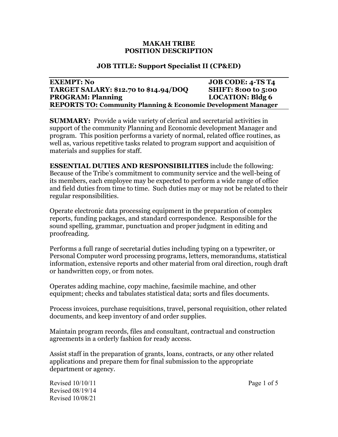#### **MAKAH TRIBE POSITION DESCRIPTION**

## **JOB TITLE: Support Specialist II (CP&ED)**

### **EXEMPT: No JOB CODE: 4-TS T4 TARGET SALARY: \$12.70 to \$14.94/DOQ SHIFT: 8:00 to 5:00 PROGRAM: Planning LOCATION: Bldg 6 REPORTS TO: Community Planning & Economic Development Manager**

**SUMMARY:** Provide a wide variety of clerical and secretarial activities in support of the community Planning and Economic development Manager and program. This position performs a variety of normal, related office routines, as well as, various repetitive tasks related to program support and acquisition of materials and supplies for staff.

**ESSENTIAL DUTIES AND RESPONSIBILITIES** include the following: Because of the Tribe's commitment to community service and the well-being of its members, each employee may be expected to perform a wide range of office and field duties from time to time. Such duties may or may not be related to their regular responsibilities.

Operate electronic data processing equipment in the preparation of complex reports, funding packages, and standard correspondence. Responsible for the sound spelling, grammar, punctuation and proper judgment in editing and proofreading.

Performs a full range of secretarial duties including typing on a typewriter, or Personal Computer word processing programs, letters, memorandums, statistical information, extensive reports and other material from oral direction, rough draft or handwritten copy, or from notes.

Operates adding machine, copy machine, facsimile machine, and other equipment; checks and tabulates statistical data; sorts and files documents.

Process invoices, purchase requisitions, travel, personal requisition, other related documents, and keep inventory of and order supplies.

Maintain program records, files and consultant, contractual and construction agreements in a orderly fashion for ready access.

Assist staff in the preparation of grants, loans, contracts, or any other related applications and prepare them for final submission to the appropriate department or agency.

Revised 10/10/11 Page 1 of 5 Revised 08/19/14 Revised 10/08/21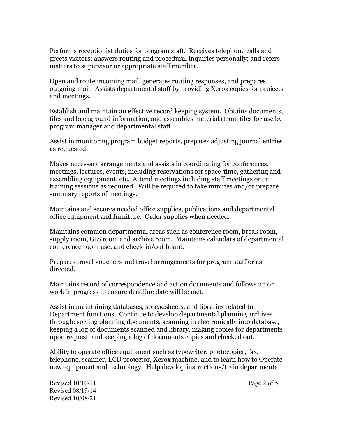Performs receptionist duties for program staff. Receives telephone calls and greets visitors; answers routing and procedural inquiries personally; and refers matters to supervisor or appropriate staff member.

Open and route incoming mail, generates routing responses, and prepares outgoing mail. Assists departmental staff by providing Xerox copies for projects and meetings.

Establish and maintain an effective record keeping system. Obtains documents, files and background information, and assembles materials from files for use by program manager and departmental staff.

Assist in monitoring program budget reports, prepares adjusting journal entries as requested.

Makes necessary arrangements and assists in coordinating for conferences, meetings, lectures, events, including reservations for space-time, gathering and assembling equipment, etc. Attend meetings including staff meetings or or training sessions as required. Will be required to take minutes and/or prepare summary reports of meetings.

Maintains and secures needed office supplies, publications and departmental office equipment and furniture. Order supplies when needed.

Maintains common departmental areas such as conference room, break room, supply room, GIS room and archive room. Maintains calendars of departmental conference room use, and check-in/out board.

Prepares travel vouchers and travel arrangements for program staff or as directed.

Maintains record of correspondence and action documents and follows up on work in progress to ensure deadline date will be met.

Assist in maintaining databases, spreadsheets, and libraries related to Department functions. Continue to develop departmental planning archives through: sorting planning documents, scanning in electronically into database, keeping a log of documents scanned and library, making copies for departments upon request, and keeping a log of documents copies and checked out.

Ability to operate office equipment such as typewriter, photocopier, fax, telephone, scanner, LCD projector, Xerox machine, and to learn how to Operate new equipment and technology. Help develop instructions/train departmental

Revised 10/10/11 Page 2 of 5 Revised 08/19/14 Revised 10/08/21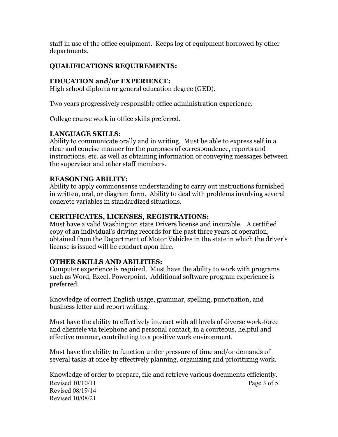staff in use of the office equipment. Keeps log of equipment borrowed by other departments.

# **QUALIFICATIONS REQUIREMENTS:**

## **EDUCATION and/or EXPERIENCE:**

High school diploma or general education degree (GED).

Two years progressively responsible office administration experience.

College course work in office skills preferred.

# **LANGUAGE SKILLS:**

Ability to communicate orally and in writing. Must be able to express self in a clear and concise manner for the purposes of correspondence, reports and instructions, etc. as well as obtaining information or conveying messages between the supervisor and other staff members.

# **REASONING ABILITY:**

Ability to apply commonsense understanding to carry out instructions furnished in written, oral, or diagram form. Ability to deal with problems involving several concrete variables in standardized situations.

## **CERTIFICATES, LICENSES, REGISTRATIONS:**

Must have a valid Washington state Drivers license and insurable. A certified copy of an individual's driving records for the past three years of operation, obtained from the Department of Motor Vehicles in the state in which the driver's license is issued will be conduct upon hire.

## **OTHER SKILLS AND ABILITIES:**

Computer experience is required. Must have the ability to work with programs such as Word, Excel, Powerpoint. Additional software program experience is preferred.

Knowledge of correct English usage, grammar, spelling, punctuation, and business letter and report writing.

Must have the ability to effectively interact with all levels of diverse work-force and clientele via telephone and personal contact, in a courteous, helpful and effective manner, contributing to a positive work environment.

Must have the ability to function under pressure of time and/or demands of several tasks at once by effectively planning, organizing and prioritizing work.

Revised 10/10/11 Page 3 of 5 Revised 08/19/14 Revised 10/08/21 Knowledge of order to prepare, file and retrieve various documents efficiently.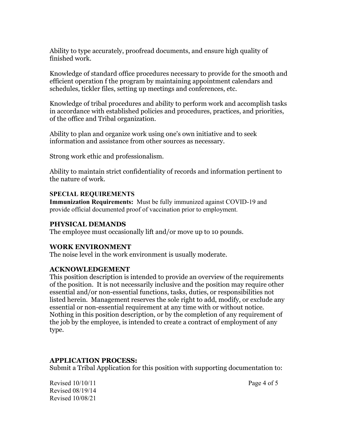Ability to type accurately, proofread documents, and ensure high quality of finished work.

Knowledge of standard office procedures necessary to provide for the smooth and efficient operation f the program by maintaining appointment calendars and schedules, tickler files, setting up meetings and conferences, etc.

Knowledge of tribal procedures and ability to perform work and accomplish tasks in accordance with established policies and procedures, practices, and priorities, of the office and Tribal organization.

Ability to plan and organize work using one's own initiative and to seek information and assistance from other sources as necessary.

Strong work ethic and professionalism.

Ability to maintain strict confidentiality of records and information pertinent to the nature of work.

### **SPECIAL REQUIREMENTS**

**Immunization Requirements:** Must be fully immunized against COVID-19 and provide official documented proof of vaccination prior to employment.

## **PHYSICAL DEMANDS**

The employee must occasionally lift and/or move up to 10 pounds.

#### **WORK ENVIRONMENT**

The noise level in the work environment is usually moderate.

#### **ACKNOWLEDGEMENT**

This position description is intended to provide an overview of the requirements of the position. It is not necessarily inclusive and the position may require other essential and/or non-essential functions, tasks, duties, or responsibilities not listed herein. Management reserves the sole right to add, modify, or exclude any essential or non-essential requirement at any time with or without notice. Nothing in this position description, or by the completion of any requirement of the job by the employee, is intended to create a contract of employment of any type.

## **APPLICATION PROCESS:**

Submit a Tribal Application for this position with supporting documentation to:

Revised 10/10/11 Page 4 of 5 Revised 08/19/14 Revised 10/08/21